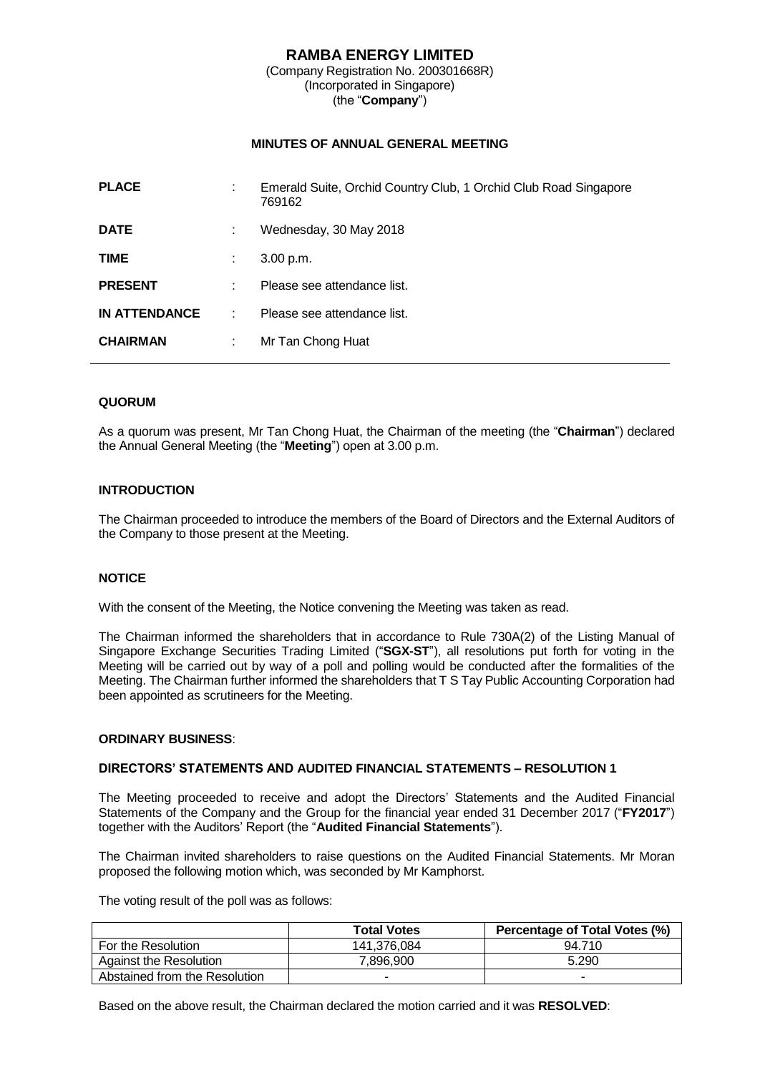### **RAMBA ENERGY LIMITED** (Company Registration No. 200301668R) (Incorporated in Singapore) (the "**Company**")

## **MINUTES OF ANNUAL GENERAL MEETING**

| <b>PLACE</b>         | ÷ | Emerald Suite, Orchid Country Club, 1 Orchid Club Road Singapore<br>769162 |
|----------------------|---|----------------------------------------------------------------------------|
| <b>DATE</b>          | ÷ | Wednesday, 30 May 2018                                                     |
| <b>TIME</b>          | ÷ | 3.00 p.m.                                                                  |
| <b>PRESENT</b>       | ÷ | Please see attendance list.                                                |
| <b>IN ATTENDANCE</b> | ÷ | Please see attendance list.                                                |
| <b>CHAIRMAN</b>      | ÷ | Mr Tan Chong Huat                                                          |
|                      |   |                                                                            |

## **QUORUM**

As a quorum was present, Mr Tan Chong Huat, the Chairman of the meeting (the "**Chairman**") declared the Annual General Meeting (the "**Meeting**") open at 3.00 p.m.

### **INTRODUCTION**

The Chairman proceeded to introduce the members of the Board of Directors and the External Auditors of the Company to those present at the Meeting.

### **NOTICE**

With the consent of the Meeting, the Notice convening the Meeting was taken as read.

The Chairman informed the shareholders that in accordance to Rule 730A(2) of the Listing Manual of Singapore Exchange Securities Trading Limited ("**SGX-ST**"), all resolutions put forth for voting in the Meeting will be carried out by way of a poll and polling would be conducted after the formalities of the Meeting. The Chairman further informed the shareholders that T S Tay Public Accounting Corporation had been appointed as scrutineers for the Meeting.

### **ORDINARY BUSINESS**:

### **DIRECTORS' STATEMENTS AND AUDITED FINANCIAL STATEMENTS – RESOLUTION 1**

The Meeting proceeded to receive and adopt the Directors' Statements and the Audited Financial Statements of the Company and the Group for the financial year ended 31 December 2017 ("**FY2017**") together with the Auditors' Report (the "**Audited Financial Statements**").

The Chairman invited shareholders to raise questions on the Audited Financial Statements. Mr Moran proposed the following motion which, was seconded by Mr Kamphorst.

The voting result of the poll was as follows:

|                               | <b>Total Votes</b> | Percentage of Total Votes (%) |
|-------------------------------|--------------------|-------------------------------|
| For the Resolution            | 141,376,084        | 94.710                        |
| Against the Resolution        | 7.896.900          | 5.290                         |
| Abstained from the Resolution |                    |                               |

Based on the above result, the Chairman declared the motion carried and it was **RESOLVED**: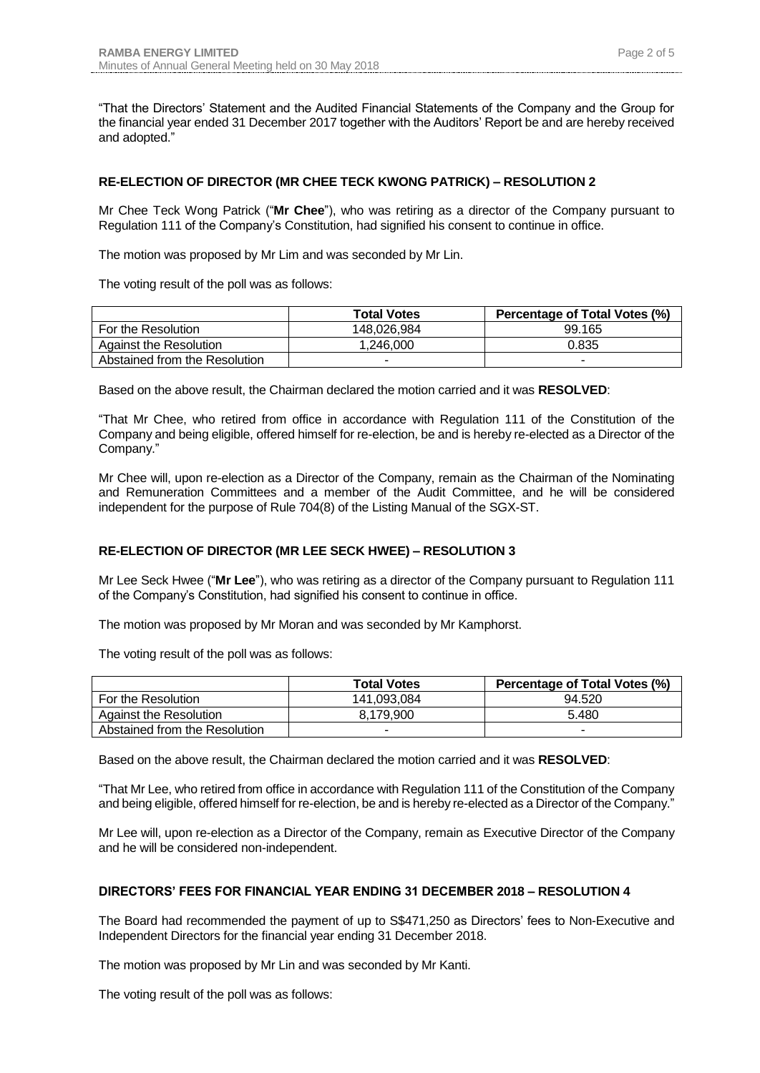"That the Directors' Statement and the Audited Financial Statements of the Company and the Group for the financial year ended 31 December 2017 together with the Auditors' Report be and are hereby received and adopted."

# **RE-ELECTION OF DIRECTOR (MR CHEE TECK KWONG PATRICK) – RESOLUTION 2**

Mr Chee Teck Wong Patrick ("**Mr Chee**"), who was retiring as a director of the Company pursuant to Regulation 111 of the Company's Constitution, had signified his consent to continue in office.

The motion was proposed by Mr Lim and was seconded by Mr Lin.

The voting result of the poll was as follows:

|                               | <b>Total Votes</b> | Percentage of Total Votes (%) |
|-------------------------------|--------------------|-------------------------------|
| For the Resolution            | 148,026,984        | 99.165                        |
| Against the Resolution        | 1.246.000          | 0.835                         |
| Abstained from the Resolution | -                  | -                             |

Based on the above result, the Chairman declared the motion carried and it was **RESOLVED**:

"That Mr Chee, who retired from office in accordance with Regulation 111 of the Constitution of the Company and being eligible, offered himself for re-election, be and is hereby re-elected as a Director of the Company."

Mr Chee will, upon re-election as a Director of the Company, remain as the Chairman of the Nominating and Remuneration Committees and a member of the Audit Committee, and he will be considered independent for the purpose of Rule 704(8) of the Listing Manual of the SGX-ST.

## **RE-ELECTION OF DIRECTOR (MR LEE SECK HWEE) – RESOLUTION 3**

Mr Lee Seck Hwee ("**Mr Lee**"), who was retiring as a director of the Company pursuant to Regulation 111 of the Company's Constitution, had signified his consent to continue in office.

The motion was proposed by Mr Moran and was seconded by Mr Kamphorst.

The voting result of the poll was as follows:

|                               | <b>Total Votes</b> | Percentage of Total Votes (%) |
|-------------------------------|--------------------|-------------------------------|
| For the Resolution            | 141.093.084        | 94.520                        |
| Against the Resolution        | 8.179.900          | 5.480                         |
| Abstained from the Resolution |                    |                               |

Based on the above result, the Chairman declared the motion carried and it was **RESOLVED**:

"That Mr Lee, who retired from office in accordance with Regulation 111 of the Constitution of the Company and being eligible, offered himself for re-election, be and is hereby re-elected as a Director of the Company."

Mr Lee will, upon re-election as a Director of the Company, remain as Executive Director of the Company and he will be considered non-independent.

### **DIRECTORS' FEES FOR FINANCIAL YEAR ENDING 31 DECEMBER 2018 – RESOLUTION 4**

The Board had recommended the payment of up to S\$471,250 as Directors' fees to Non-Executive and Independent Directors for the financial year ending 31 December 2018.

The motion was proposed by Mr Lin and was seconded by Mr Kanti.

The voting result of the poll was as follows: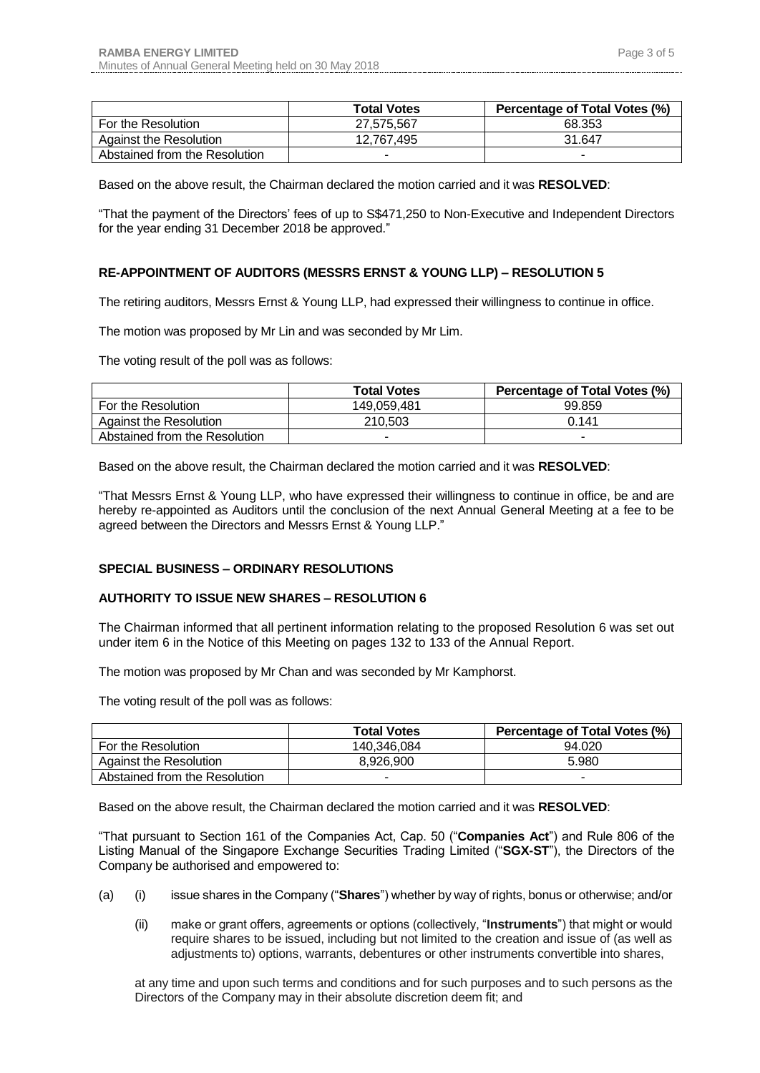|                               | <b>Total Votes</b> | Percentage of Total Votes (%) |
|-------------------------------|--------------------|-------------------------------|
| For the Resolution            | 27.575.567         | 68.353                        |
| Against the Resolution        | 12.767.495         | 31.647                        |
| Abstained from the Resolution |                    |                               |

Based on the above result, the Chairman declared the motion carried and it was **RESOLVED**:

"That the payment of the Directors' fees of up to S\$471,250 to Non-Executive and Independent Directors for the year ending 31 December 2018 be approved."

### **RE-APPOINTMENT OF AUDITORS (MESSRS ERNST & YOUNG LLP) – RESOLUTION 5**

The retiring auditors, Messrs Ernst & Young LLP, had expressed their willingness to continue in office.

The motion was proposed by Mr Lin and was seconded by Mr Lim.

The voting result of the poll was as follows:

|                               | <b>Total Votes</b> | Percentage of Total Votes (%) |
|-------------------------------|--------------------|-------------------------------|
| For the Resolution            | 149.059.481        | 99.859                        |
| <b>Against the Resolution</b> | 210.503            | 0.141                         |
| Abstained from the Resolution | -                  | -                             |

Based on the above result, the Chairman declared the motion carried and it was **RESOLVED**:

"That Messrs Ernst & Young LLP, who have expressed their willingness to continue in office, be and are hereby re-appointed as Auditors until the conclusion of the next Annual General Meeting at a fee to be agreed between the Directors and Messrs Ernst & Young LLP."

### **SPECIAL BUSINESS – ORDINARY RESOLUTIONS**

### **AUTHORITY TO ISSUE NEW SHARES – RESOLUTION 6**

The Chairman informed that all pertinent information relating to the proposed Resolution 6 was set out under item 6 in the Notice of this Meeting on pages 132 to 133 of the Annual Report.

The motion was proposed by Mr Chan and was seconded by Mr Kamphorst.

The voting result of the poll was as follows:

|                               | <b>Total Votes</b> | Percentage of Total Votes (%) |
|-------------------------------|--------------------|-------------------------------|
| For the Resolution            | 140.346.084        | 94.020                        |
| <b>Against the Resolution</b> | 8.926.900          | 5.980                         |
| Abstained from the Resolution | -                  |                               |

Based on the above result, the Chairman declared the motion carried and it was **RESOLVED**:

"That pursuant to Section 161 of the Companies Act, Cap. 50 ("**Companies Act**") and Rule 806 of the Listing Manual of the Singapore Exchange Securities Trading Limited ("**SGX-ST**"), the Directors of the Company be authorised and empowered to:

- (a) (i) issue shares in the Company ("**Shares**") whether by way of rights, bonus or otherwise; and/or
	- (ii) make or grant offers, agreements or options (collectively, "**Instruments**") that might or would require shares to be issued, including but not limited to the creation and issue of (as well as adjustments to) options, warrants, debentures or other instruments convertible into shares,

at any time and upon such terms and conditions and for such purposes and to such persons as the Directors of the Company may in their absolute discretion deem fit; and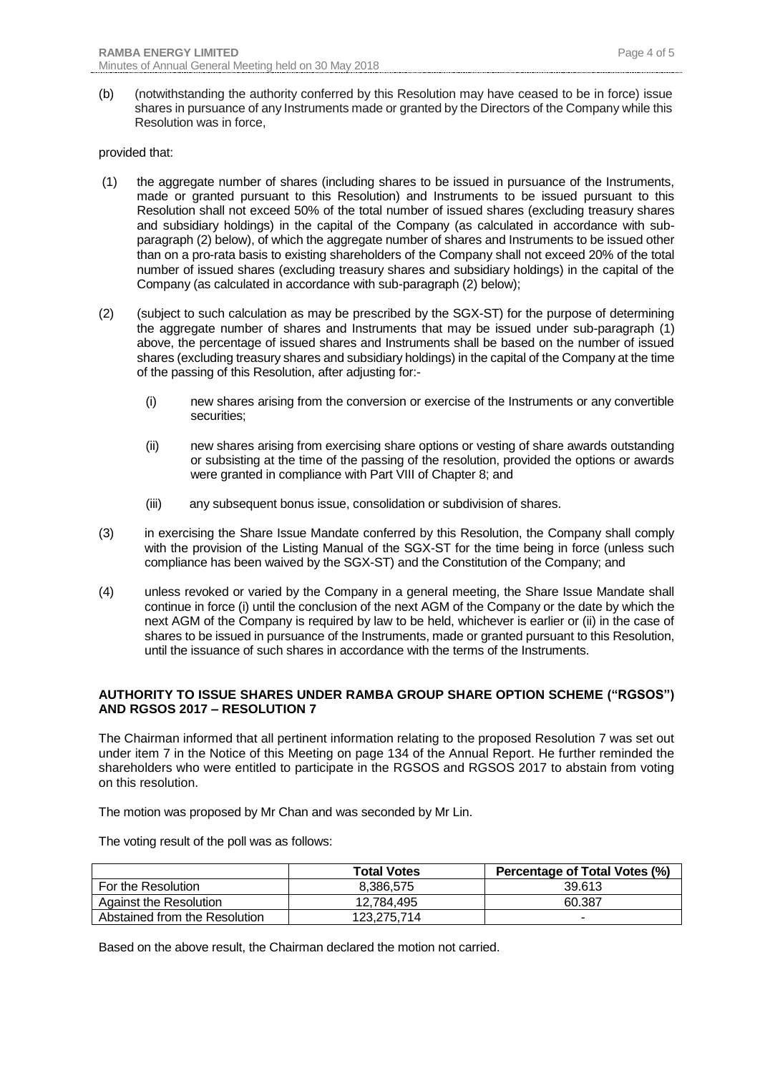(b) (notwithstanding the authority conferred by this Resolution may have ceased to be in force) issue shares in pursuance of any Instruments made or granted by the Directors of the Company while this Resolution was in force,

#### provided that:

- (1) the aggregate number of shares (including shares to be issued in pursuance of the Instruments, made or granted pursuant to this Resolution) and Instruments to be issued pursuant to this Resolution shall not exceed 50% of the total number of issued shares (excluding treasury shares and subsidiary holdings) in the capital of the Company (as calculated in accordance with subparagraph (2) below), of which the aggregate number of shares and Instruments to be issued other than on a pro-rata basis to existing shareholders of the Company shall not exceed 20% of the total number of issued shares (excluding treasury shares and subsidiary holdings) in the capital of the Company (as calculated in accordance with sub-paragraph (2) below);
- (2) (subject to such calculation as may be prescribed by the SGX-ST) for the purpose of determining the aggregate number of shares and Instruments that may be issued under sub-paragraph (1) above, the percentage of issued shares and Instruments shall be based on the number of issued shares (excluding treasury shares and subsidiary holdings) in the capital of the Company at the time of the passing of this Resolution, after adjusting for:-
	- (i) new shares arising from the conversion or exercise of the Instruments or any convertible securities;
	- (ii) new shares arising from exercising share options or vesting of share awards outstanding or subsisting at the time of the passing of the resolution, provided the options or awards were granted in compliance with Part VIII of Chapter 8; and
	- (iii) any subsequent bonus issue, consolidation or subdivision of shares.
- (3) in exercising the Share Issue Mandate conferred by this Resolution, the Company shall comply with the provision of the Listing Manual of the SGX-ST for the time being in force (unless such compliance has been waived by the SGX-ST) and the Constitution of the Company; and
- (4) unless revoked or varied by the Company in a general meeting, the Share Issue Mandate shall continue in force (i) until the conclusion of the next AGM of the Company or the date by which the next AGM of the Company is required by law to be held, whichever is earlier or (ii) in the case of shares to be issued in pursuance of the Instruments, made or granted pursuant to this Resolution, until the issuance of such shares in accordance with the terms of the Instruments.

### **AUTHORITY TO ISSUE SHARES UNDER RAMBA GROUP SHARE OPTION SCHEME ("RGSOS") AND RGSOS 2017 – RESOLUTION 7**

The Chairman informed that all pertinent information relating to the proposed Resolution 7 was set out under item 7 in the Notice of this Meeting on page 134 of the Annual Report. He further reminded the shareholders who were entitled to participate in the RGSOS and RGSOS 2017 to abstain from voting on this resolution.

The motion was proposed by Mr Chan and was seconded by Mr Lin.

The voting result of the poll was as follows:

|                               | <b>Total Votes</b> | Percentage of Total Votes (%) |
|-------------------------------|--------------------|-------------------------------|
| For the Resolution            | 8.386.575          | 39.613                        |
| Against the Resolution        | 12.784.495         | 60.387                        |
| Abstained from the Resolution | 123.275.714        |                               |

Based on the above result, the Chairman declared the motion not carried.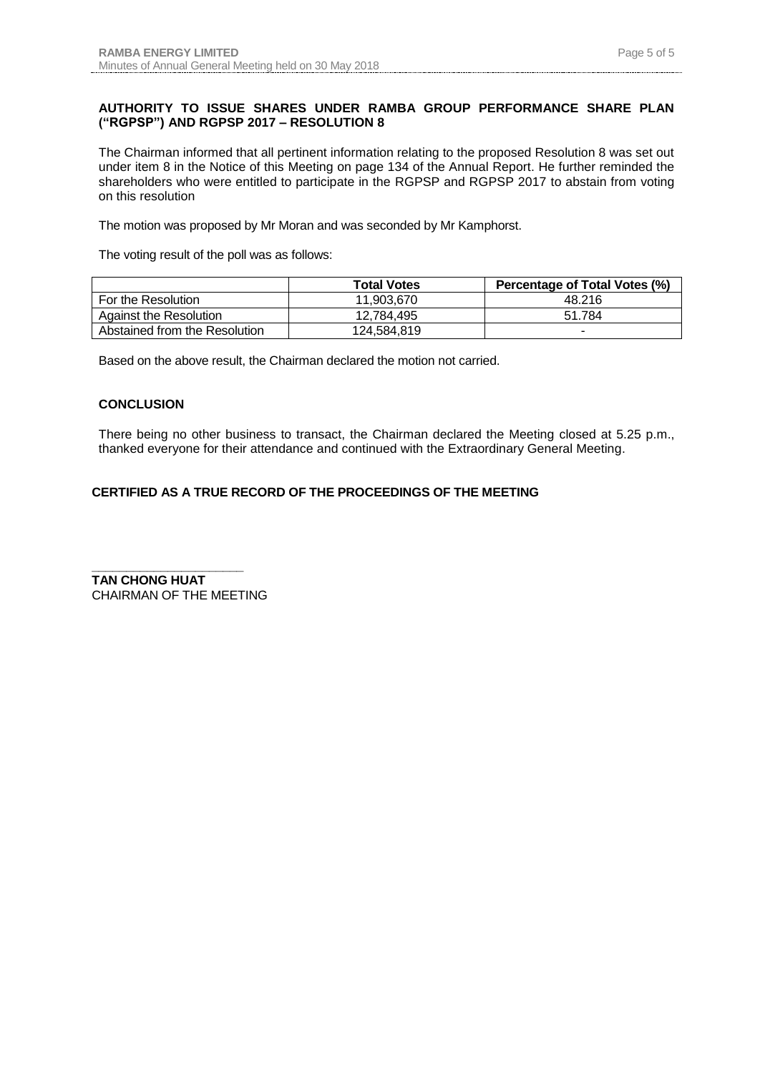## **AUTHORITY TO ISSUE SHARES UNDER RAMBA GROUP PERFORMANCE SHARE PLAN ("RGPSP") AND RGPSP 2017 – RESOLUTION 8**

The Chairman informed that all pertinent information relating to the proposed Resolution 8 was set out under item 8 in the Notice of this Meeting on page 134 of the Annual Report. He further reminded the shareholders who were entitled to participate in the RGPSP and RGPSP 2017 to abstain from voting on this resolution

The motion was proposed by Mr Moran and was seconded by Mr Kamphorst.

The voting result of the poll was as follows:

|                               | <b>Total Votes</b> | Percentage of Total Votes (%) |
|-------------------------------|--------------------|-------------------------------|
| For the Resolution            | 11.903.670         | 48.216                        |
| Against the Resolution        | 12.784.495         | 51.784                        |
| Abstained from the Resolution | 124,584,819        |                               |

Based on the above result, the Chairman declared the motion not carried.

### **CONCLUSION**

There being no other business to transact, the Chairman declared the Meeting closed at 5.25 p.m., thanked everyone for their attendance and continued with the Extraordinary General Meeting.

# **CERTIFIED AS A TRUE RECORD OF THE PROCEEDINGS OF THE MEETING**

**\_\_\_\_\_\_\_\_\_\_\_\_\_\_\_\_\_\_\_\_\_\_ TAN CHONG HUAT** CHAIRMAN OF THE MEETING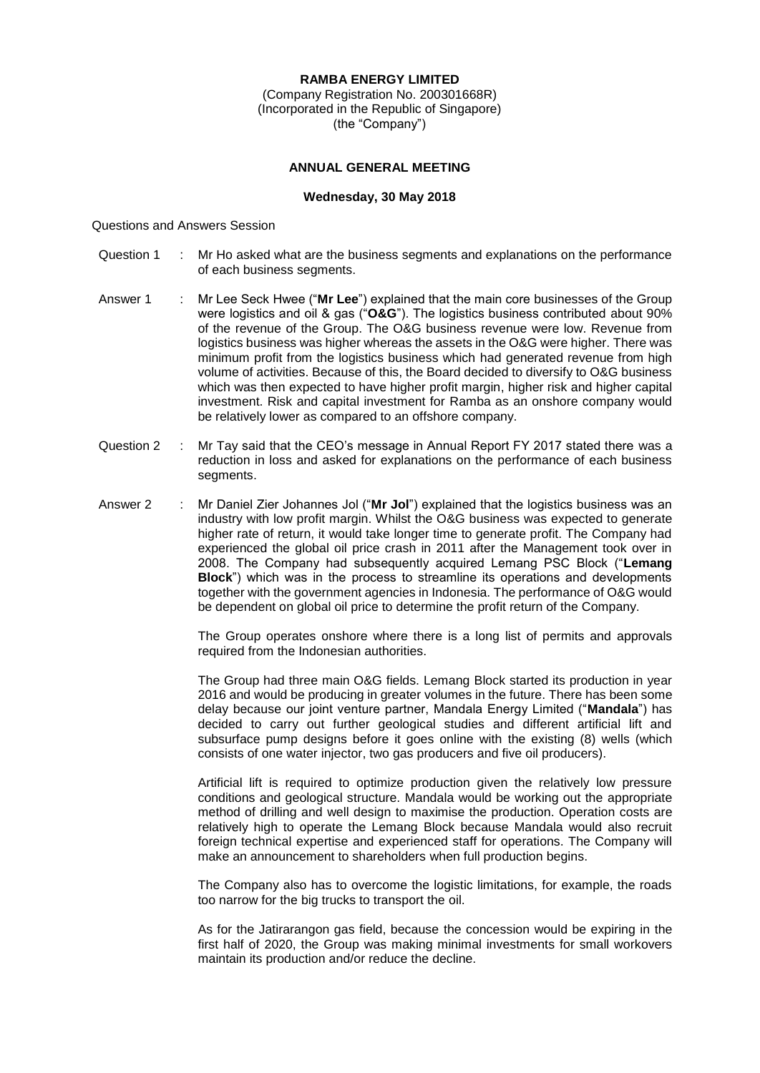### **RAMBA ENERGY LIMITED**

(Company Registration No. 200301668R) (Incorporated in the Republic of Singapore) (the "Company")

#### **ANNUAL GENERAL MEETING**

#### **Wednesday, 30 May 2018**

#### Questions and Answers Session

- Question 1 : Mr Ho asked what are the business segments and explanations on the performance of each business segments.
- Answer 1 : Mr Lee Seck Hwee ("**Mr Lee**") explained that the main core businesses of the Group were logistics and oil & gas ("**O&G**"). The logistics business contributed about 90% of the revenue of the Group. The O&G business revenue were low. Revenue from logistics business was higher whereas the assets in the O&G were higher. There was minimum profit from the logistics business which had generated revenue from high volume of activities. Because of this, the Board decided to diversify to O&G business which was then expected to have higher profit margin, higher risk and higher capital investment. Risk and capital investment for Ramba as an onshore company would be relatively lower as compared to an offshore company.
- Question 2 : Mr Tay said that the CEO's message in Annual Report FY 2017 stated there was a reduction in loss and asked for explanations on the performance of each business segments.
- Answer 2 : Mr Daniel Zier Johannes Jol ("Mr Jol") explained that the logistics business was an industry with low profit margin. Whilst the O&G business was expected to generate higher rate of return, it would take longer time to generate profit. The Company had experienced the global oil price crash in 2011 after the Management took over in 2008. The Company had subsequently acquired Lemang PSC Block ("**Lemang Block**") which was in the process to streamline its operations and developments together with the government agencies in Indonesia. The performance of O&G would be dependent on global oil price to determine the profit return of the Company.

The Group operates onshore where there is a long list of permits and approvals required from the Indonesian authorities.

The Group had three main O&G fields. Lemang Block started its production in year 2016 and would be producing in greater volumes in the future. There has been some delay because our joint venture partner, Mandala Energy Limited ("**Mandala**") has decided to carry out further geological studies and different artificial lift and subsurface pump designs before it goes online with the existing (8) wells (which consists of one water injector, two gas producers and five oil producers).

Artificial lift is required to optimize production given the relatively low pressure conditions and geological structure. Mandala would be working out the appropriate method of drilling and well design to maximise the production. Operation costs are relatively high to operate the Lemang Block because Mandala would also recruit foreign technical expertise and experienced staff for operations. The Company will make an announcement to shareholders when full production begins.

The Company also has to overcome the logistic limitations, for example, the roads too narrow for the big trucks to transport the oil.

As for the Jatirarangon gas field, because the concession would be expiring in the first half of 2020, the Group was making minimal investments for small workovers maintain its production and/or reduce the decline.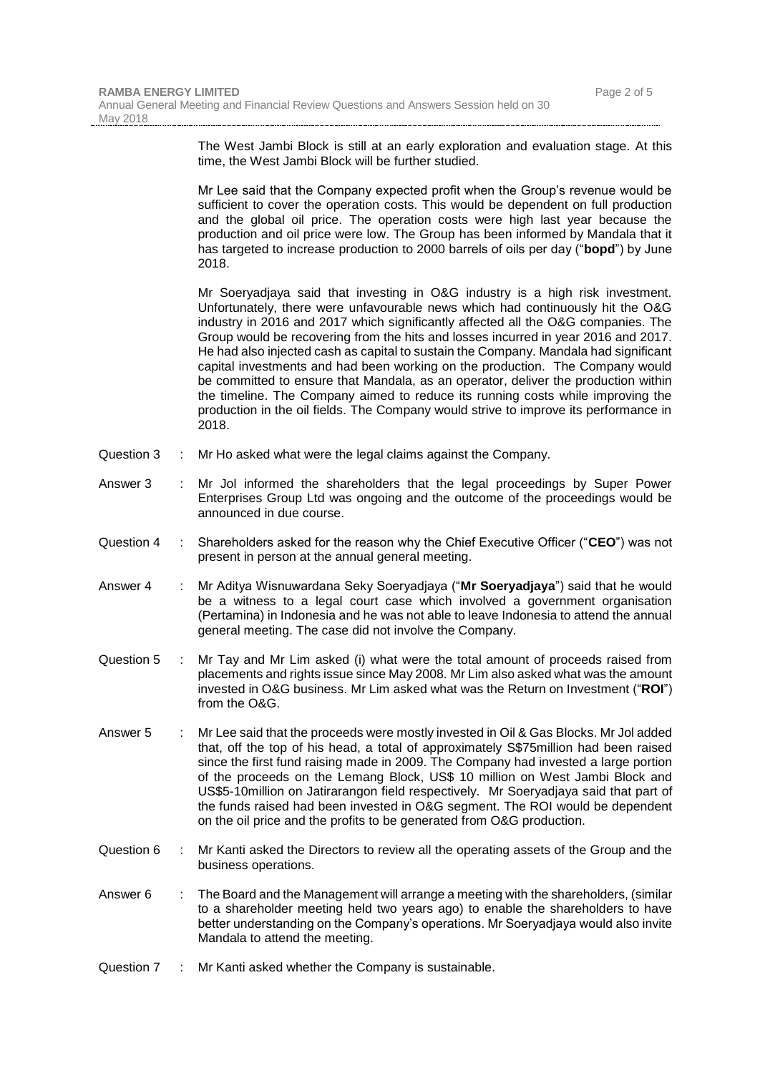|            |    | The West Jambi Block is still at an early exploration and evaluation stage. At this<br>time, the West Jambi Block will be further studied.                                                                                                                                                                                                                                                                                                                                                                                                                                                                                                                                                                                                                                                    |
|------------|----|-----------------------------------------------------------------------------------------------------------------------------------------------------------------------------------------------------------------------------------------------------------------------------------------------------------------------------------------------------------------------------------------------------------------------------------------------------------------------------------------------------------------------------------------------------------------------------------------------------------------------------------------------------------------------------------------------------------------------------------------------------------------------------------------------|
|            |    | Mr Lee said that the Company expected profit when the Group's revenue would be<br>sufficient to cover the operation costs. This would be dependent on full production<br>and the global oil price. The operation costs were high last year because the<br>production and oil price were low. The Group has been informed by Mandala that it<br>has targeted to increase production to 2000 barrels of oils per day ("bopd") by June<br>2018.                                                                                                                                                                                                                                                                                                                                                  |
|            |    | Mr Soeryadjaya said that investing in O&G industry is a high risk investment.<br>Unfortunately, there were unfavourable news which had continuously hit the O&G<br>industry in 2016 and 2017 which significantly affected all the O&G companies. The<br>Group would be recovering from the hits and losses incurred in year 2016 and 2017.<br>He had also injected cash as capital to sustain the Company. Mandala had significant<br>capital investments and had been working on the production. The Company would<br>be committed to ensure that Mandala, as an operator, deliver the production within<br>the timeline. The Company aimed to reduce its running costs while improving the<br>production in the oil fields. The Company would strive to improve its performance in<br>2018. |
| Question 3 | ÷. | Mr Ho asked what were the legal claims against the Company.                                                                                                                                                                                                                                                                                                                                                                                                                                                                                                                                                                                                                                                                                                                                   |
| Answer 3   |    | Mr Jol informed the shareholders that the legal proceedings by Super Power<br>Enterprises Group Ltd was ongoing and the outcome of the proceedings would be<br>announced in due course.                                                                                                                                                                                                                                                                                                                                                                                                                                                                                                                                                                                                       |
| Question 4 | ÷  | Shareholders asked for the reason why the Chief Executive Officer ("CEO") was not<br>present in person at the annual general meeting.                                                                                                                                                                                                                                                                                                                                                                                                                                                                                                                                                                                                                                                         |
| Answer 4   | ÷  | Mr Aditya Wisnuwardana Seky Soeryadjaya ("Mr Soeryadjaya") said that he would<br>be a witness to a legal court case which involved a government organisation<br>(Pertamina) in Indonesia and he was not able to leave Indonesia to attend the annual<br>general meeting. The case did not involve the Company.                                                                                                                                                                                                                                                                                                                                                                                                                                                                                |
| Question 5 | ÷. | Mr Tay and Mr Lim asked (i) what were the total amount of proceeds raised from<br>placements and rights issue since May 2008. Mr Lim also asked what was the amount<br>invested in O&G business. Mr Lim asked what was the Return on Investment ("ROI")<br>from the O&G.                                                                                                                                                                                                                                                                                                                                                                                                                                                                                                                      |
| Answer 5   |    | Mr Lee said that the proceeds were mostly invested in Oil & Gas Blocks. Mr Jol added<br>that, off the top of his head, a total of approximately S\$75million had been raised                                                                                                                                                                                                                                                                                                                                                                                                                                                                                                                                                                                                                  |

- that, off the top of his head, a total of approximately S\$75million had been raised since the first fund raising made in 2009. The Company had invested a large portion of the proceeds on the Lemang Block, US\$ 10 million on West Jambi Block and US\$5-10million on Jatirarangon field respectively. Mr Soeryadjaya said that part of the funds raised had been invested in O&G segment. The ROI would be dependent on the oil price and the profits to be generated from O&G production.
- Question 6 : Mr Kanti asked the Directors to review all the operating assets of the Group and the business operations.
- Answer 6 : The Board and the Management will arrange a meeting with the shareholders, (similar to a shareholder meeting held two years ago) to enable the shareholders to have better understanding on the Company's operations. Mr Soeryadjaya would also invite Mandala to attend the meeting.
- Question 7 : Mr Kanti asked whether the Company is sustainable.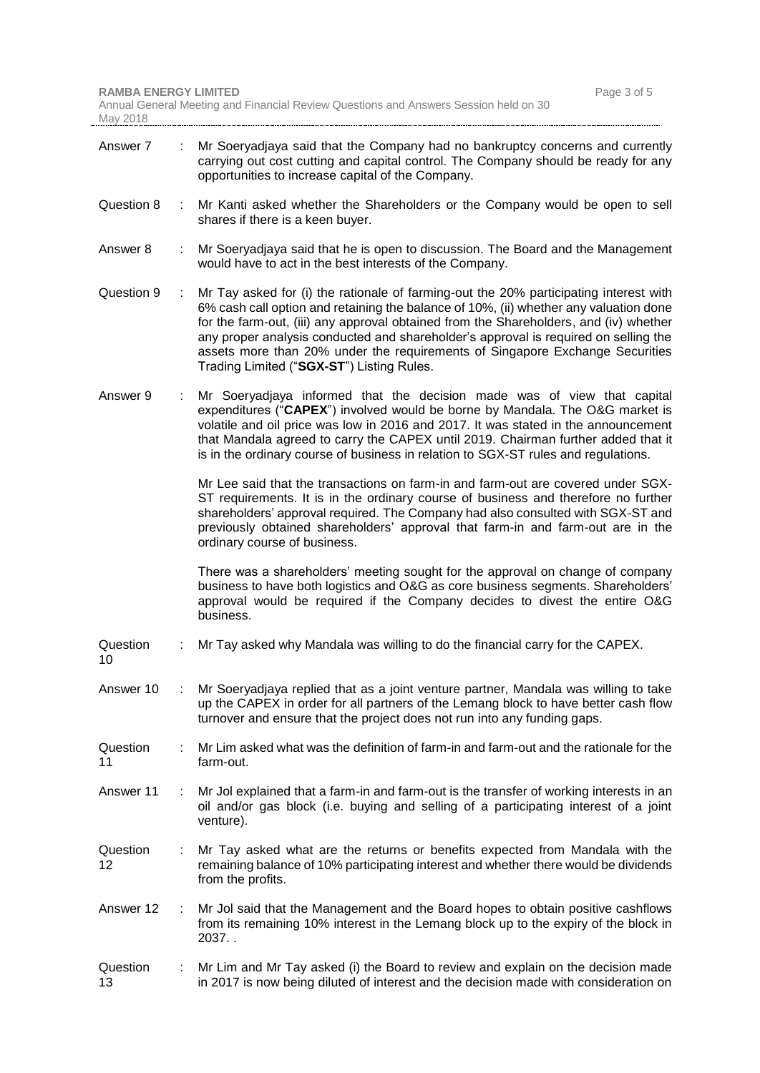| Answer 7       | ÷ | Mr Soeryadjaya said that the Company had no bankruptcy concerns and currently<br>carrying out cost cutting and capital control. The Company should be ready for any<br>opportunities to increase capital of the Company.                                                                                                                                                                                                                                                                    |
|----------------|---|---------------------------------------------------------------------------------------------------------------------------------------------------------------------------------------------------------------------------------------------------------------------------------------------------------------------------------------------------------------------------------------------------------------------------------------------------------------------------------------------|
| Question 8     | ÷ | Mr Kanti asked whether the Shareholders or the Company would be open to sell<br>shares if there is a keen buyer.                                                                                                                                                                                                                                                                                                                                                                            |
| Answer 8       |   | Mr Soeryadjaya said that he is open to discussion. The Board and the Management<br>would have to act in the best interests of the Company.                                                                                                                                                                                                                                                                                                                                                  |
| Question 9     | ÷ | Mr Tay asked for (i) the rationale of farming-out the 20% participating interest with<br>6% cash call option and retaining the balance of 10%, (ii) whether any valuation done<br>for the farm-out, (iii) any approval obtained from the Shareholders, and (iv) whether<br>any proper analysis conducted and shareholder's approval is required on selling the<br>assets more than 20% under the requirements of Singapore Exchange Securities<br>Trading Limited ("SGX-ST") Listing Rules. |
| Answer 9       |   | Mr Soeryadjaya informed that the decision made was of view that capital<br>expenditures ("CAPEX") involved would be borne by Mandala. The O&G market is<br>volatile and oil price was low in 2016 and 2017. It was stated in the announcement<br>that Mandala agreed to carry the CAPEX until 2019. Chairman further added that it<br>is in the ordinary course of business in relation to SGX-ST rules and regulations.                                                                    |
|                |   | Mr Lee said that the transactions on farm-in and farm-out are covered under SGX-<br>ST requirements. It is in the ordinary course of business and therefore no further<br>shareholders' approval required. The Company had also consulted with SGX-ST and<br>previously obtained shareholders' approval that farm-in and farm-out are in the<br>ordinary course of business.                                                                                                                |
|                |   | There was a shareholders' meeting sought for the approval on change of company<br>business to have both logistics and O&G as core business segments. Shareholders'<br>approval would be required if the Company decides to divest the entire O&G<br>business.                                                                                                                                                                                                                               |
| Question<br>10 |   | Mr Tay asked why Mandala was willing to do the financial carry for the CAPEX.                                                                                                                                                                                                                                                                                                                                                                                                               |
| Answer 10      | ÷ | Mr Soeryadjaya replied that as a joint venture partner, Mandala was willing to take<br>up the CAPEX in order for all partners of the Lemang block to have better cash flow<br>turnover and ensure that the project does not run into any funding gaps.                                                                                                                                                                                                                                      |
| Question<br>11 |   | Mr Lim asked what was the definition of farm-in and farm-out and the rationale for the<br>farm-out.                                                                                                                                                                                                                                                                                                                                                                                         |
| Answer 11      | ÷ | Mr Jol explained that a farm-in and farm-out is the transfer of working interests in an<br>oil and/or gas block (i.e. buying and selling of a participating interest of a joint<br>venture).                                                                                                                                                                                                                                                                                                |
| Question<br>12 |   | Mr Tay asked what are the returns or benefits expected from Mandala with the<br>remaining balance of 10% participating interest and whether there would be dividends<br>from the profits.                                                                                                                                                                                                                                                                                                   |
| Answer 12      | ÷ | Mr Jol said that the Management and the Board hopes to obtain positive cashflows<br>from its remaining 10% interest in the Lemang block up to the expiry of the block in<br>2037.                                                                                                                                                                                                                                                                                                           |
| Question<br>13 | ÷ | Mr Lim and Mr Tay asked (i) the Board to review and explain on the decision made<br>in 2017 is now being diluted of interest and the decision made with consideration on                                                                                                                                                                                                                                                                                                                    |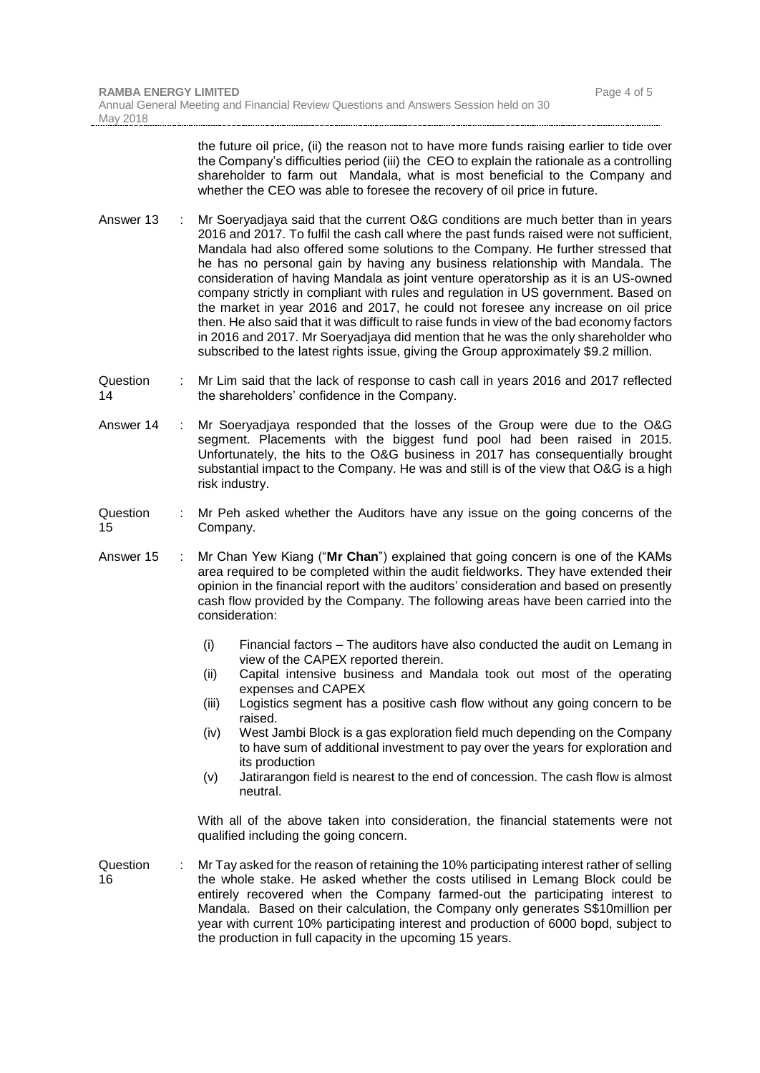the future oil price, (ii) the reason not to have more funds raising earlier to tide over the Company's difficulties period (iii) the CEO to explain the rationale as a controlling shareholder to farm out Mandala, what is most beneficial to the Company and whether the CEO was able to foresee the recovery of oil price in future.

- Answer 13 : Mr Soeryadjaya said that the current O&G conditions are much better than in years 2016 and 2017. To fulfil the cash call where the past funds raised were not sufficient, Mandala had also offered some solutions to the Company. He further stressed that he has no personal gain by having any business relationship with Mandala. The consideration of having Mandala as joint venture operatorship as it is an US-owned company strictly in compliant with rules and regulation in US government. Based on the market in year 2016 and 2017, he could not foresee any increase on oil price then. He also said that it was difficult to raise funds in view of the bad economy factors in 2016 and 2017. Mr Soeryadjaya did mention that he was the only shareholder who subscribed to the latest rights issue, giving the Group approximately \$9.2 million.
- **Question** 14 : Mr Lim said that the lack of response to cash call in years 2016 and 2017 reflected the shareholders' confidence in the Company.
- Answer 14 : Mr Soeryadjaya responded that the losses of the Group were due to the O&G segment. Placements with the biggest fund pool had been raised in 2015. Unfortunately, the hits to the O&G business in 2017 has consequentially brought substantial impact to the Company. He was and still is of the view that O&G is a high risk industry.
- Question 15 : Mr Peh asked whether the Auditors have any issue on the going concerns of the Company.
- Answer 15 : Mr Chan Yew Kiang ("**Mr Chan**") explained that going concern is one of the KAMs area required to be completed within the audit fieldworks. They have extended their opinion in the financial report with the auditors' consideration and based on presently cash flow provided by the Company. The following areas have been carried into the consideration:
	- (i) Financial factors The auditors have also conducted the audit on Lemang in view of the CAPEX reported therein.
	- (ii) Capital intensive business and Mandala took out most of the operating expenses and CAPEX
	- (iii) Logistics segment has a positive cash flow without any going concern to be raised.
	- (iv) West Jambi Block is a gas exploration field much depending on the Company to have sum of additional investment to pay over the years for exploration and its production
	- (v) Jatirarangon field is nearest to the end of concession. The cash flow is almost neutral.

With all of the above taken into consideration, the financial statements were not qualified including the going concern.

Question 16 : Mr Tay asked for the reason of retaining the 10% participating interest rather of selling the whole stake. He asked whether the costs utilised in Lemang Block could be entirely recovered when the Company farmed-out the participating interest to Mandala. Based on their calculation, the Company only generates S\$10million per year with current 10% participating interest and production of 6000 bopd, subject to the production in full capacity in the upcoming 15 years.